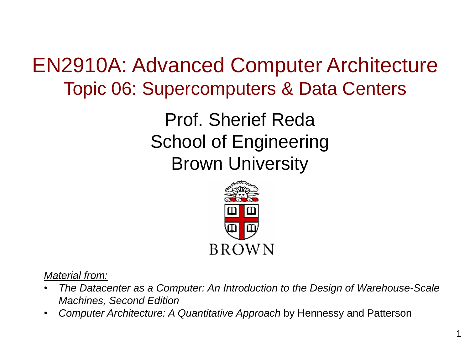EN2910A: Advanced Computer Architecture Topic 06: Supercomputers & Data Centers

> Prof. Sherief Reda School of Engineering Brown University



*Material from:*

- *The Datacenter as a Computer: An Introduction to the Design of Warehouse-Scale Machines, Second Edition*
- *Computer Architecture: A Quantitative Approach* by Hennessy and Patterson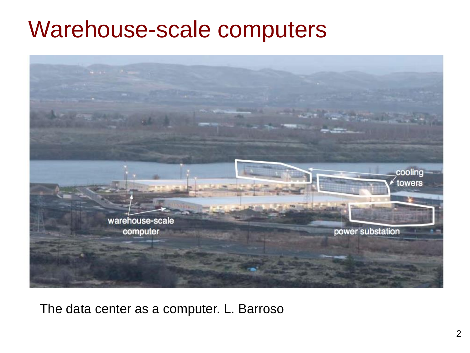#### Warehouse-scale computers



The data center as a computer. L. Barroso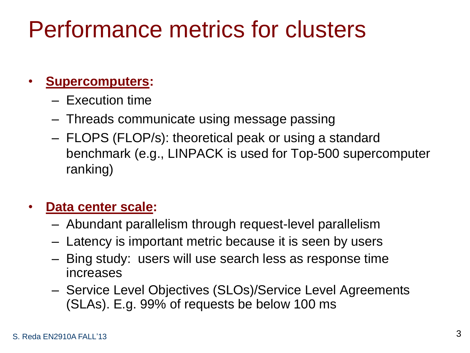## Performance metrics for clusters

#### • **Supercomputers:**

- Execution time
- Threads communicate using message passing
- FLOPS (FLOP/s): theoretical peak or using a standard benchmark (e.g., LINPACK is used for Top-500 supercomputer ranking)

#### • **Data center scale:**

- Abundant parallelism through request-level parallelism
- Latency is important metric because it is seen by users
- Bing study: users will use search less as response time increases
- Service Level Objectives (SLOs)/Service Level Agreements (SLAs). E.g. 99% of requests be below 100 ms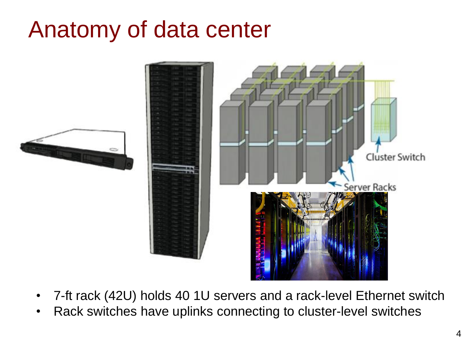### Anatomy of data center



- 7-ft rack (42U) holds 40 1U servers and a rack-level Ethernet switch
- Rack switches have uplinks connecting to cluster-level switches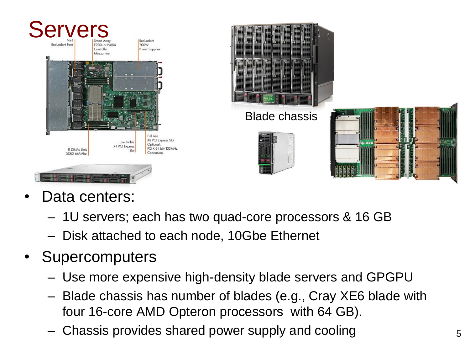

- Data centers:
	- 1U servers; each has two quad-core processors & 16 GB
	- Disk attached to each node, 10Gbe Ethernet
- **Supercomputers** 
	- Use more expensive high-density blade servers and GPGPU
	- Blade chassis has number of blades (e.g., Cray XE6 blade with four 16-core AMD Opteron processors with 64 GB).
	- Chassis provides shared power supply and cooling  $5<sub>5</sub>$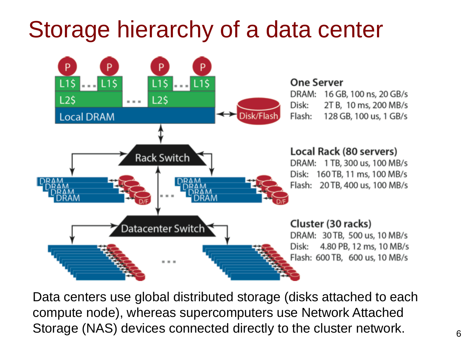## Storage hierarchy of a data center



Data centers use global distributed storage (disks attached to each compute node), whereas supercomputers use Network Attached Storage (NAS) devices connected directly to the cluster network.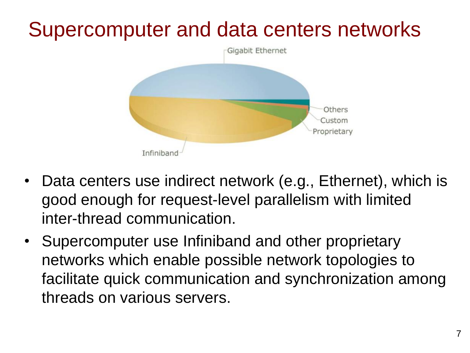#### Supercomputer and data centers networks



- Data centers use indirect network (e.g., Ethernet), which is good enough for request-level parallelism with limited inter-thread communication.
- Supercomputer use Infiniband and other proprietary networks which enable possible network topologies to facilitate quick communication and synchronization among threads on various servers.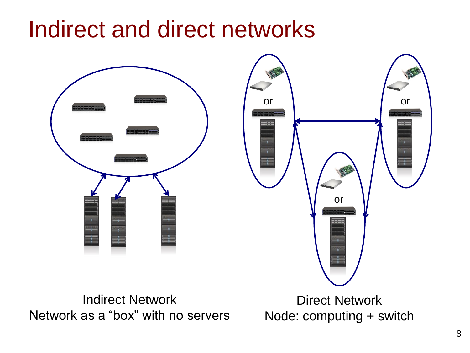#### Indirect and direct networks

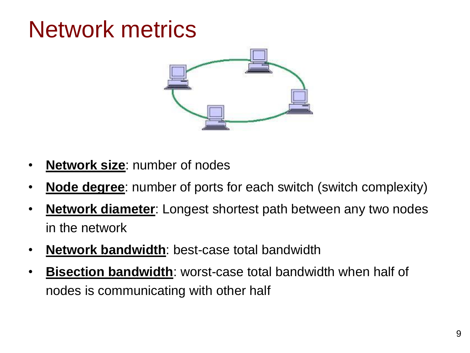## Network metrics



- **Network size**: number of nodes
- **Node degree**: number of ports for each switch (switch complexity)
- **Network diameter**: Longest shortest path between any two nodes in the network
- **Network bandwidth**: best-case total bandwidth
- **Bisection bandwidth**: worst-case total bandwidth when half of nodes is communicating with other half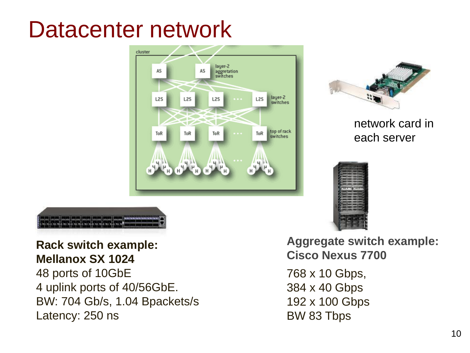#### Datacenter network





network card in each server





**Rack switch example: Mellanox SX 1024** 48 ports of 10GbE 4 uplink ports of 40/56GbE. BW: 704 Gb/s, 1.04 Bpackets/s Latency: 250 ns

**Aggregate switch example: Cisco Nexus 7700**

768 x 10 Gbps, 384 x 40 Gbps 192 x 100 Gbps BW 83 Tbps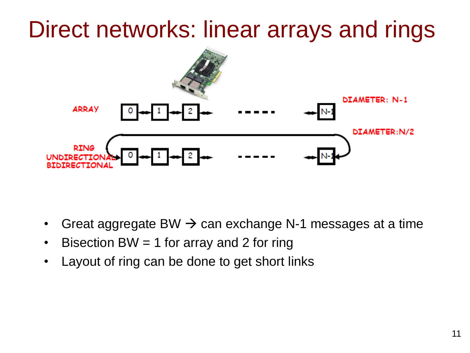## Direct networks: linear arrays and rings



- Great aggregate BW  $\rightarrow$  can exchange N-1 messages at a time
- Bisection BW = 1 for array and 2 for ring
- Layout of ring can be done to get short links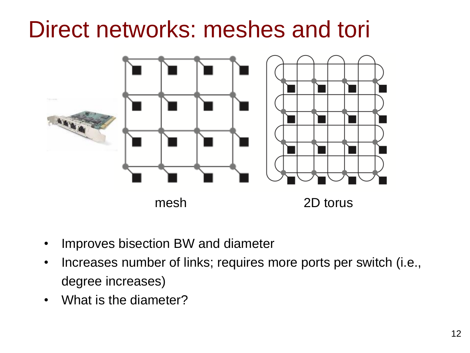### Direct networks: meshes and tori



- Improves bisection BW and diameter
- Increases number of links; requires more ports per switch (i.e., degree increases)
- What is the diameter?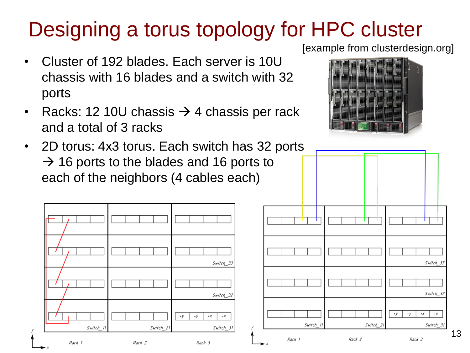#### Designing a torus topology for HPC cluster

- Cluster of 192 blades. Each server is 10U chassis with 16 blades and a switch with 32 ports
- Racks: 12 10U chassis  $\rightarrow$  4 chassis per rack and a total of 3 racks
- 2D torus: 4x3 torus. Each switch has 32 ports  $\rightarrow$  16 ports to the blades and 16 ports to each of the neighbors (4 cables each)







13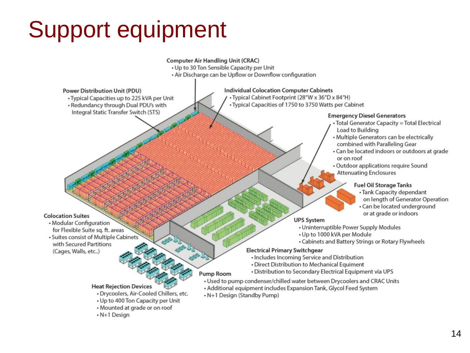# Support equipment